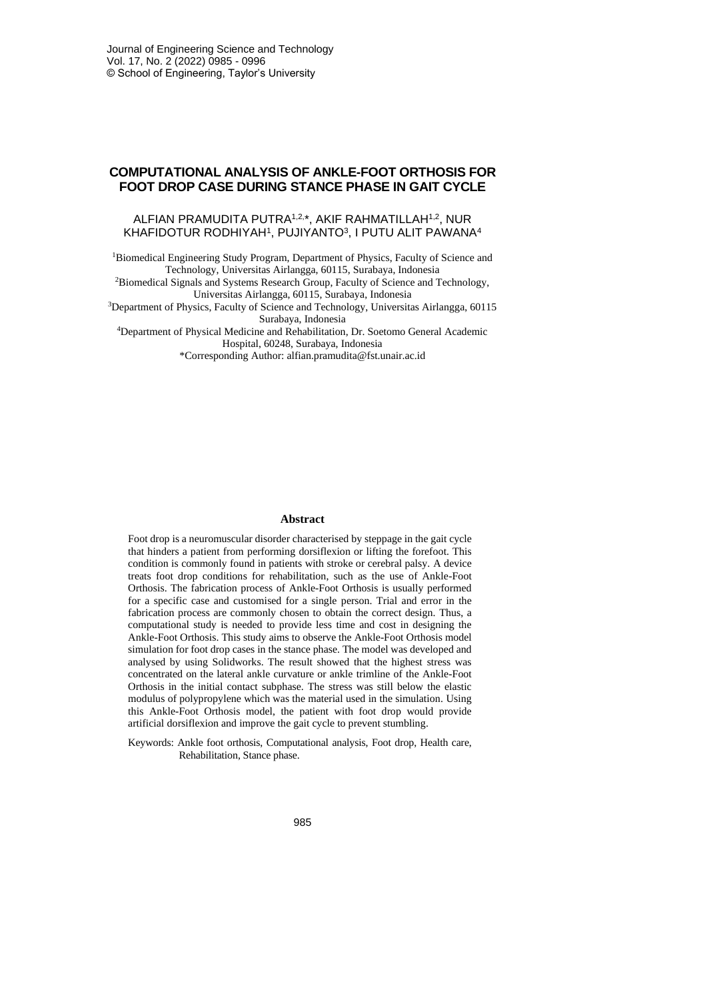# **COMPUTATIONAL ANALYSIS OF ANKLE-FOOT ORTHOSIS FOR FOOT DROP CASE DURING STANCE PHASE IN GAIT CYCLE**

## ALFIAN PRAMUDITA PUTRA<sup>1,2,\*</sup>, AKIF RAHMATILLAH<sup>1,2</sup>, NUR KHAFIDOTUR RODHIYAH1, PUJIYANTO3, I PUTU ALIT PAWANA4

<sup>1</sup>Biomedical Engineering Study Program, Department of Physics, Faculty of Science and Technology, Universitas Airlangga, 60115, Surabaya, Indonesia <sup>2</sup>Biomedical Signals and Systems Research Group, Faculty of Science and Technology, Universitas Airlangga, 60115, Surabaya, Indonesia <sup>3</sup>Department of Physics, Faculty of Science and Technology, Universitas Airlangga, 60115

Surabaya, Indonesia

<sup>4</sup>Department of Physical Medicine and Rehabilitation, Dr. Soetomo General Academic Hospital, 60248, Surabaya, Indonesia

\*Corresponding Author: alfian.pramudita@fst.unair.ac.id

#### **Abstract**

Foot drop is a neuromuscular disorder characterised by steppage in the gait cycle that hinders a patient from performing dorsiflexion or lifting the forefoot. This condition is commonly found in patients with stroke or cerebral palsy. A device treats foot drop conditions for rehabilitation, such as the use of Ankle-Foot Orthosis. The fabrication process of Ankle-Foot Orthosis is usually performed for a specific case and customised for a single person. Trial and error in the fabrication process are commonly chosen to obtain the correct design. Thus, a computational study is needed to provide less time and cost in designing the Ankle-Foot Orthosis. This study aims to observe the Ankle-Foot Orthosis model simulation for foot drop cases in the stance phase. The model was developed and analysed by using Solidworks. The result showed that the highest stress was concentrated on the lateral ankle curvature or ankle trimline of the Ankle-Foot Orthosis in the initial contact subphase. The stress was still below the elastic modulus of polypropylene which was the material used in the simulation. Using this Ankle-Foot Orthosis model, the patient with foot drop would provide artificial dorsiflexion and improve the gait cycle to prevent stumbling.

Keywords: Ankle foot orthosis, Computational analysis, Foot drop, Health care, Rehabilitation, Stance phase.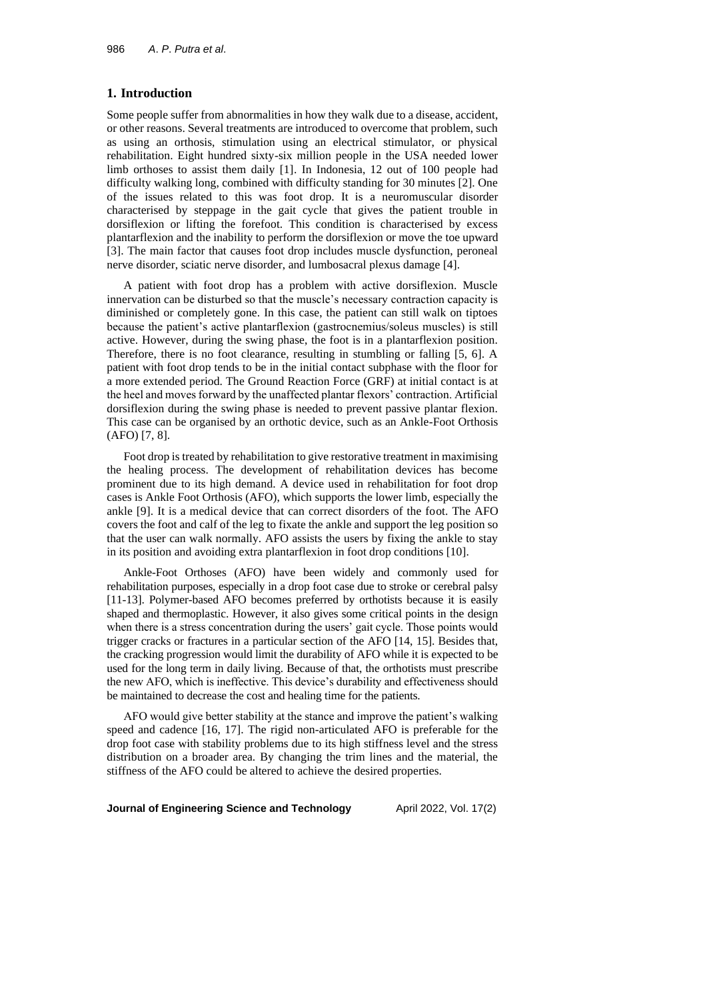### **1. Introduction**

Some people suffer from abnormalities in how they walk due to a disease, accident, or other reasons. Several treatments are introduced to overcome that problem, such as using an orthosis, stimulation using an electrical stimulator, or physical rehabilitation. Eight hundred sixty-six million people in the USA needed lower limb orthoses to assist them daily [1]. In Indonesia, 12 out of 100 people had difficulty walking long, combined with difficulty standing for 30 minutes [2]. One of the issues related to this was foot drop. It is a neuromuscular disorder characterised by steppage in the gait cycle that gives the patient trouble in dorsiflexion or lifting the forefoot. This condition is characterised by excess plantarflexion and the inability to perform the dorsiflexion or move the toe upward [3]. The main factor that causes foot drop includes muscle dysfunction, peroneal nerve disorder, sciatic nerve disorder, and lumbosacral plexus damage [4].

A patient with foot drop has a problem with active dorsiflexion. Muscle innervation can be disturbed so that the muscle's necessary contraction capacity is diminished or completely gone. In this case, the patient can still walk on tiptoes because the patient's active plantarflexion (gastrocnemius/soleus muscles) is still active. However, during the swing phase, the foot is in a plantarflexion position. Therefore, there is no foot clearance, resulting in stumbling or falling [5, 6]. A patient with foot drop tends to be in the initial contact subphase with the floor for a more extended period. The Ground Reaction Force (GRF) at initial contact is at the heel and moves forward by the unaffected plantar flexors' contraction. Artificial dorsiflexion during the swing phase is needed to prevent passive plantar flexion. This case can be organised by an orthotic device, such as an Ankle-Foot Orthosis (AFO) [7, 8].

Foot drop is treated by rehabilitation to give restorative treatment in maximising the healing process. The development of rehabilitation devices has become prominent due to its high demand. A device used in rehabilitation for foot drop cases is Ankle Foot Orthosis (AFO), which supports the lower limb, especially the ankle [9]. It is a medical device that can correct disorders of the foot. The AFO covers the foot and calf of the leg to fixate the ankle and support the leg position so that the user can walk normally. AFO assists the users by fixing the ankle to stay in its position and avoiding extra plantarflexion in foot drop conditions [10].

Ankle-Foot Orthoses (AFO) have been widely and commonly used for rehabilitation purposes, especially in a drop foot case due to stroke or cerebral palsy [11-13]. Polymer-based AFO becomes preferred by orthotists because it is easily shaped and thermoplastic. However, it also gives some critical points in the design when there is a stress concentration during the users' gait cycle. Those points would trigger cracks or fractures in a particular section of the AFO [14, 15]. Besides that, the cracking progression would limit the durability of AFO while it is expected to be used for the long term in daily living. Because of that, the orthotists must prescribe the new AFO, which is ineffective. This device's durability and effectiveness should be maintained to decrease the cost and healing time for the patients.

AFO would give better stability at the stance and improve the patient's walking speed and cadence [16, 17]. The rigid non-articulated AFO is preferable for the drop foot case with stability problems due to its high stiffness level and the stress distribution on a broader area. By changing the trim lines and the material, the stiffness of the AFO could be altered to achieve the desired properties.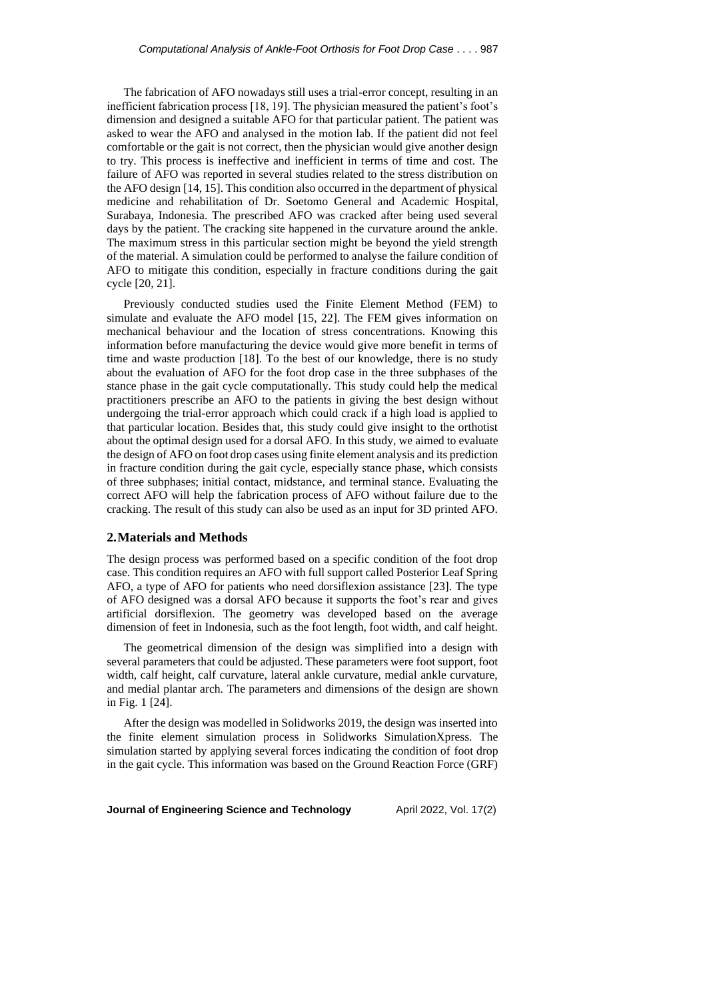The fabrication of AFO nowadays still uses a trial-error concept, resulting in an inefficient fabrication process [18, 19]. The physician measured the patient's foot's dimension and designed a suitable AFO for that particular patient. The patient was asked to wear the AFO and analysed in the motion lab. If the patient did not feel comfortable or the gait is not correct, then the physician would give another design to try. This process is ineffective and inefficient in terms of time and cost. The failure of AFO was reported in several studies related to the stress distribution on the AFO design [14, 15]. This condition also occurred in the department of physical medicine and rehabilitation of Dr. Soetomo General and Academic Hospital, Surabaya, Indonesia. The prescribed AFO was cracked after being used several days by the patient. The cracking site happened in the curvature around the ankle. The maximum stress in this particular section might be beyond the yield strength of the material. A simulation could be performed to analyse the failure condition of AFO to mitigate this condition, especially in fracture conditions during the gait cycle [20, 21].

Previously conducted studies used the Finite Element Method (FEM) to simulate and evaluate the AFO model [15, 22]. The FEM gives information on mechanical behaviour and the location of stress concentrations. Knowing this information before manufacturing the device would give more benefit in terms of time and waste production [18]. To the best of our knowledge, there is no study about the evaluation of AFO for the foot drop case in the three subphases of the stance phase in the gait cycle computationally. This study could help the medical practitioners prescribe an AFO to the patients in giving the best design without undergoing the trial-error approach which could crack if a high load is applied to that particular location. Besides that, this study could give insight to the orthotist about the optimal design used for a dorsal AFO. In this study, we aimed to evaluate the design of AFO on foot drop cases using finite element analysis and its prediction in fracture condition during the gait cycle, especially stance phase, which consists of three subphases; initial contact, midstance, and terminal stance. Evaluating the correct AFO will help the fabrication process of AFO without failure due to the cracking. The result of this study can also be used as an input for 3D printed AFO.

### **2.Materials and Methods**

The design process was performed based on a specific condition of the foot drop case. This condition requires an AFO with full support called Posterior Leaf Spring AFO, a type of AFO for patients who need dorsiflexion assistance [23]. The type of AFO designed was a dorsal AFO because it supports the foot's rear and gives artificial dorsiflexion. The geometry was developed based on the average dimension of feet in Indonesia, such as the foot length, foot width, and calf height.

The geometrical dimension of the design was simplified into a design with several parameters that could be adjusted. These parameters were foot support, foot width, calf height, calf curvature, lateral ankle curvature, medial ankle curvature, and medial plantar arch. The parameters and dimensions of the design are shown in Fig. 1 [24].

After the design was modelled in Solidworks 2019, the design was inserted into the finite element simulation process in Solidworks SimulationXpress. The simulation started by applying several forces indicating the condition of foot drop in the gait cycle. This information was based on the Ground Reaction Force (GRF)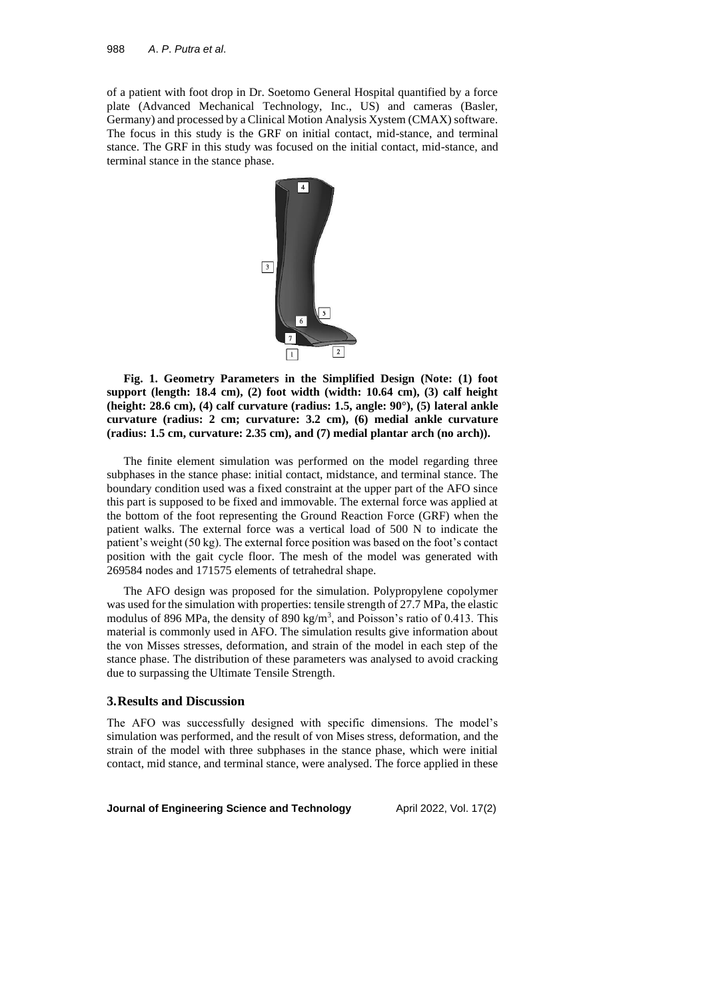of a patient with foot drop in Dr. Soetomo General Hospital quantified by a force plate (Advanced Mechanical Technology, Inc., US) and cameras (Basler, Germany) and processed by a Clinical Motion Analysis Xystem (CMAX) software. The focus in this study is the GRF on initial contact, mid-stance, and terminal stance. The GRF in this study was focused on the initial contact, mid-stance, and terminal stance in the stance phase.



**Fig. 1. Geometry Parameters in the Simplified Design (Note: (1) foot support (length: 18.4 cm), (2) foot width (width: 10.64 cm), (3) calf height (height: 28.6 cm), (4) calf curvature (radius: 1.5, angle: 90°), (5) lateral ankle curvature (radius: 2 cm; curvature: 3.2 cm), (6) medial ankle curvature (radius: 1.5 cm, curvature: 2.35 cm), and (7) medial plantar arch (no arch)).**

The finite element simulation was performed on the model regarding three subphases in the stance phase: initial contact, midstance, and terminal stance. The boundary condition used was a fixed constraint at the upper part of the AFO since this part is supposed to be fixed and immovable. The external force was applied at the bottom of the foot representing the Ground Reaction Force (GRF) when the patient walks. The external force was a vertical load of 500 N to indicate the patient's weight (50 kg). The external force position was based on the foot's contact position with the gait cycle floor. The mesh of the model was generated with 269584 nodes and 171575 elements of tetrahedral shape.

The AFO design was proposed for the simulation. Polypropylene copolymer was used for the simulation with properties: tensile strength of 27.7 MPa, the elastic modulus of 896 MPa, the density of 890 kg/m<sup>3</sup>, and Poisson's ratio of 0.413. This material is commonly used in AFO. The simulation results give information about the von Misses stresses, deformation, and strain of the model in each step of the stance phase. The distribution of these parameters was analysed to avoid cracking due to surpassing the Ultimate Tensile Strength.

#### **3.Results and Discussion**

The AFO was successfully designed with specific dimensions. The model's simulation was performed, and the result of von Mises stress, deformation, and the strain of the model with three subphases in the stance phase, which were initial contact, mid stance, and terminal stance, were analysed. The force applied in these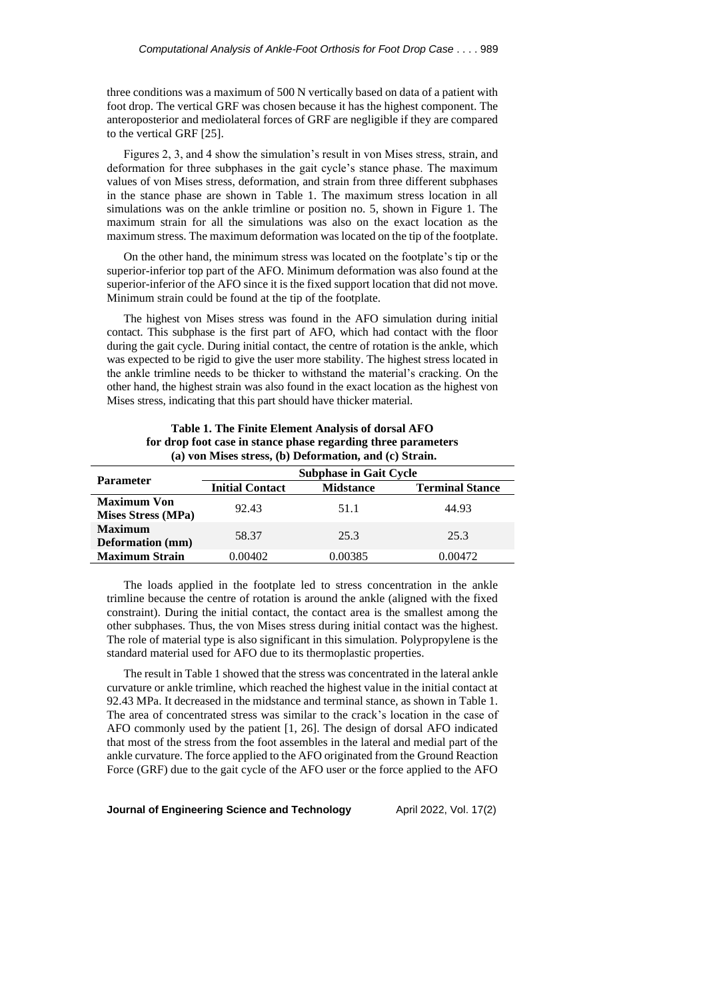three conditions was a maximum of 500 N vertically based on data of a patient with foot drop. The vertical GRF was chosen because it has the highest component. The anteroposterior and mediolateral forces of GRF are negligible if they are compared to the vertical GRF [25].

Figures 2, 3, and 4 show the simulation's result in von Mises stress, strain, and deformation for three subphases in the gait cycle's stance phase. The maximum values of von Mises stress, deformation, and strain from three different subphases in the stance phase are shown in Table 1. The maximum stress location in all simulations was on the ankle trimline or position no. 5, shown in Figure 1. The maximum strain for all the simulations was also on the exact location as the maximum stress. The maximum deformation was located on the tip of the footplate.

On the other hand, the minimum stress was located on the footplate's tip or the superior-inferior top part of the AFO. Minimum deformation was also found at the superior-inferior of the AFO since it is the fixed support location that did not move. Minimum strain could be found at the tip of the footplate.

The highest von Mises stress was found in the AFO simulation during initial contact. This subphase is the first part of AFO, which had contact with the floor during the gait cycle. During initial contact, the centre of rotation is the ankle, which was expected to be rigid to give the user more stability. The highest stress located in the ankle trimline needs to be thicker to withstand the material's cracking. On the other hand, the highest strain was also found in the exact location as the highest von Mises stress, indicating that this part should have thicker material.

| (a) von Mises stress, (b) Deformation, and (c) Strain. |                               |                  |                        |  |
|--------------------------------------------------------|-------------------------------|------------------|------------------------|--|
| <b>Parameter</b>                                       | <b>Subphase in Gait Cycle</b> |                  |                        |  |
|                                                        | <b>Initial Contact</b>        | <b>Midstance</b> | <b>Terminal Stance</b> |  |
| <b>Maximum Von</b><br>Mises Stress (MPa)               | 92.43                         | 51.1             | 44.93                  |  |
| <b>Maximum</b><br><b>Deformation</b> (mm)              | 58.37                         | 25.3             | 25.3                   |  |
| <b>Maximum Strain</b>                                  | 0.00402                       | 0.00385          | 0.00472                |  |

**Table 1. The Finite Element Analysis of dorsal AFO for drop foot case in stance phase regarding three parameters**

The loads applied in the footplate led to stress concentration in the ankle trimline because the centre of rotation is around the ankle (aligned with the fixed constraint). During the initial contact, the contact area is the smallest among the other subphases. Thus, the von Mises stress during initial contact was the highest. The role of material type is also significant in this simulation. Polypropylene is the standard material used for AFO due to its thermoplastic properties.

The result in Table 1 showed that the stress was concentrated in the lateral ankle curvature or ankle trimline, which reached the highest value in the initial contact at 92.43 MPa. It decreased in the midstance and terminal stance, as shown in Table 1. The area of concentrated stress was similar to the crack's location in the case of AFO commonly used by the patient [1, 26]. The design of dorsal AFO indicated that most of the stress from the foot assembles in the lateral and medial part of the ankle curvature. The force applied to the AFO originated from the Ground Reaction Force (GRF) due to the gait cycle of the AFO user or the force applied to the AFO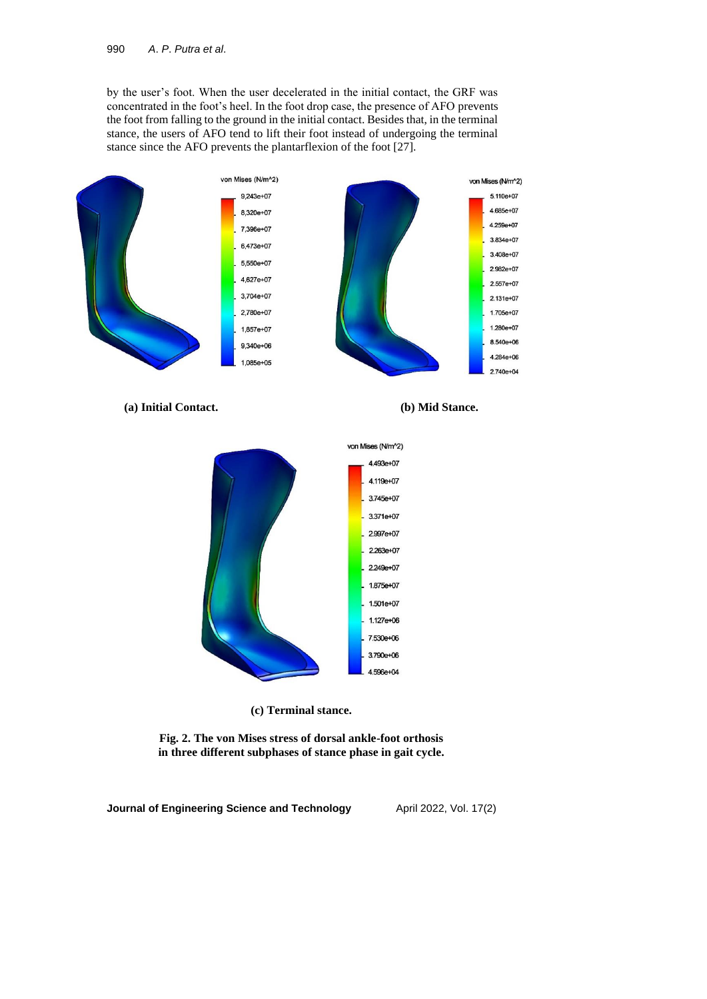by the user's foot. When the user decelerated in the initial contact, the GRF was concentrated in the foot's heel. In the foot drop case, the presence of AFO prevents the foot from falling to the ground in the initial contact. Besides that, in the terminal stance, the users of AFO tend to lift their foot instead of undergoing the terminal stance since the AFO prevents the plantarflexion of the foot [27].



**(a) Initial Contact. (b) Mid Stance.**



**(c) Terminal stance.**

**Fig. 2. The von Mises stress of dorsal ankle-foot orthosis in three different subphases of stance phase in gait cycle.**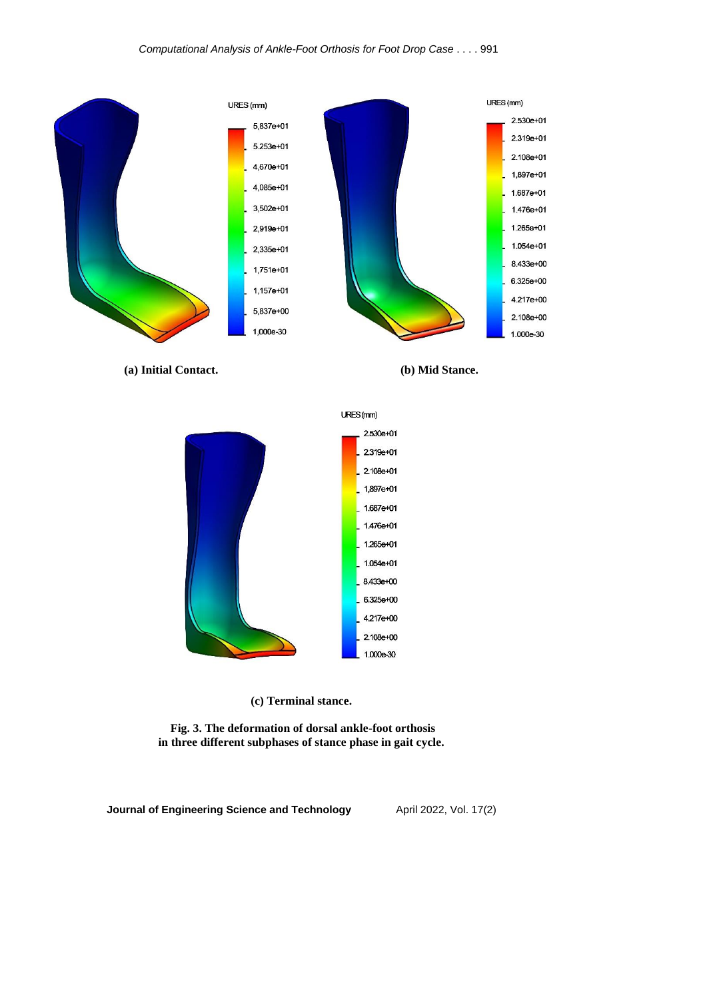

**(a) Initial Contact. (b) Mid Stance.**





**(c) Terminal stance.**

**Fig. 3. The deformation of dorsal ankle-foot orthosis in three different subphases of stance phase in gait cycle.**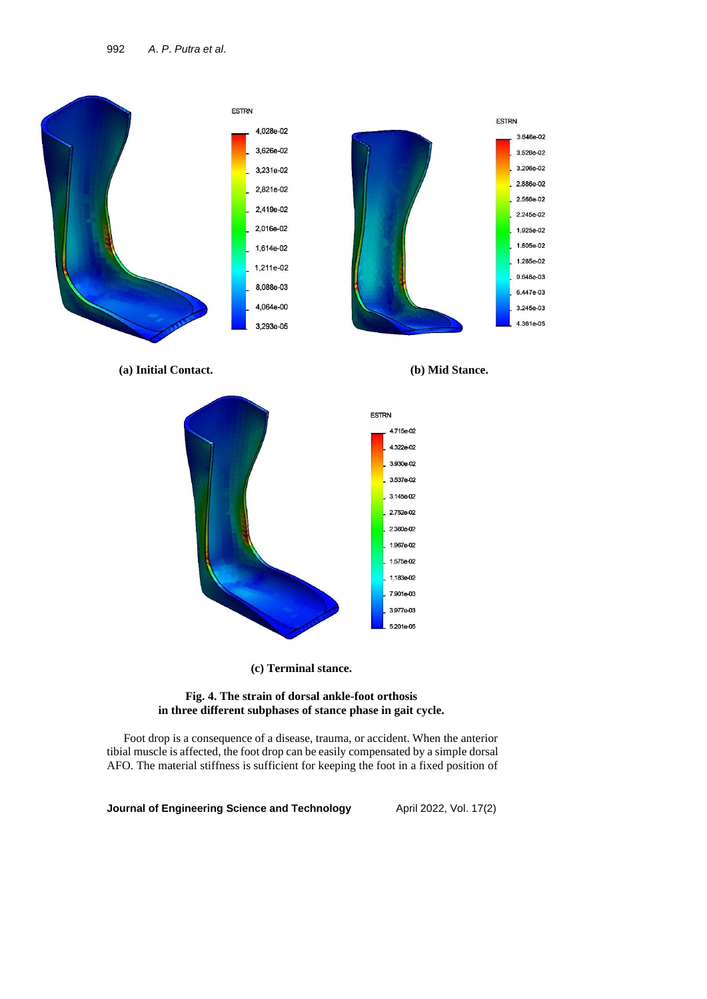

**(a) Initial Contact. (b) Mid Stance.**





**(c) Terminal stance.**

### **Fig. 4. The strain of dorsal ankle-foot orthosis in three different subphases of stance phase in gait cycle.**

Foot drop is a consequence of a disease, trauma, or accident. When the anterior tibial muscle is affected, the foot drop can be easily compensated by a simple dorsal AFO. The material stiffness is sufficient for keeping the foot in a fixed position of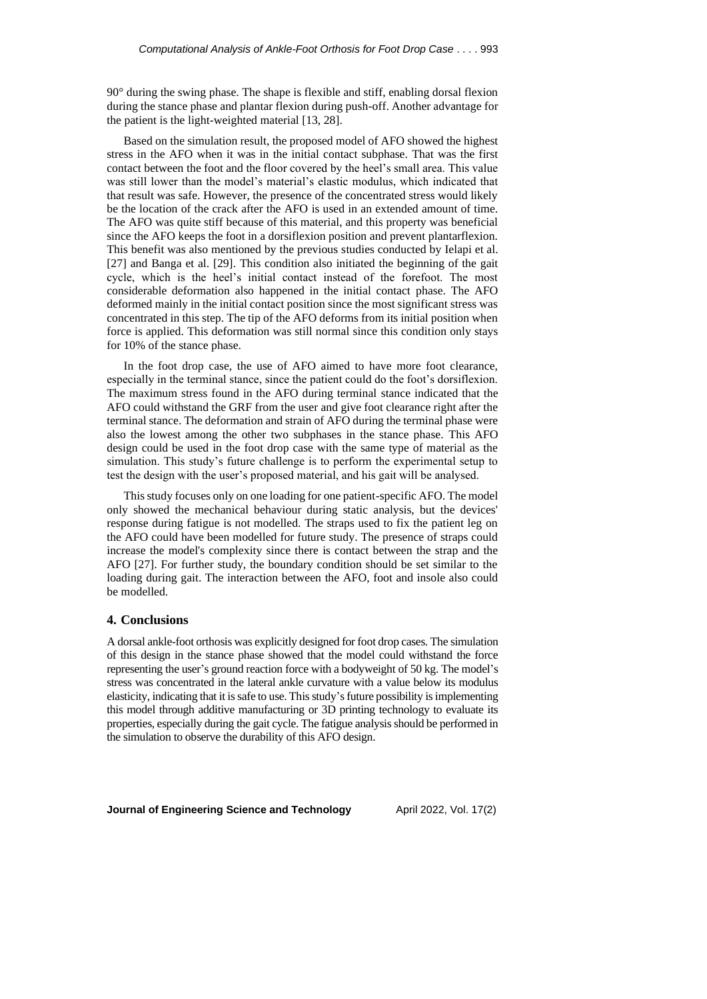90° during the swing phase. The shape is flexible and stiff, enabling dorsal flexion during the stance phase and plantar flexion during push-off. Another advantage for the patient is the light-weighted material [13, 28].

Based on the simulation result, the proposed model of AFO showed the highest stress in the AFO when it was in the initial contact subphase. That was the first contact between the foot and the floor covered by the heel's small area. This value was still lower than the model's material's elastic modulus, which indicated that that result was safe. However, the presence of the concentrated stress would likely be the location of the crack after the AFO is used in an extended amount of time. The AFO was quite stiff because of this material, and this property was beneficial since the AFO keeps the foot in a dorsiflexion position and prevent plantarflexion. This benefit was also mentioned by the previous studies conducted by Ielapi et al. [27] and Banga et al. [29]. This condition also initiated the beginning of the gait cycle, which is the heel's initial contact instead of the forefoot. The most considerable deformation also happened in the initial contact phase. The AFO deformed mainly in the initial contact position since the most significant stress was concentrated in this step. The tip of the AFO deforms from its initial position when force is applied. This deformation was still normal since this condition only stays for 10% of the stance phase.

In the foot drop case, the use of AFO aimed to have more foot clearance, especially in the terminal stance, since the patient could do the foot's dorsiflexion. The maximum stress found in the AFO during terminal stance indicated that the AFO could withstand the GRF from the user and give foot clearance right after the terminal stance. The deformation and strain of AFO during the terminal phase were also the lowest among the other two subphases in the stance phase. This AFO design could be used in the foot drop case with the same type of material as the simulation. This study's future challenge is to perform the experimental setup to test the design with the user's proposed material, and his gait will be analysed.

This study focuses only on one loading for one patient-specific AFO. The model only showed the mechanical behaviour during static analysis, but the devices' response during fatigue is not modelled. The straps used to fix the patient leg on the AFO could have been modelled for future study. The presence of straps could increase the model's complexity since there is contact between the strap and the AFO [27]. For further study, the boundary condition should be set similar to the loading during gait. The interaction between the AFO, foot and insole also could be modelled.

#### **4. Conclusions**

A dorsal ankle-foot orthosis was explicitly designed for foot drop cases. The simulation of this design in the stance phase showed that the model could withstand the force representing the user's ground reaction force with a bodyweight of 50 kg. The model's stress was concentrated in the lateral ankle curvature with a value below its modulus elasticity, indicating that it is safe to use. This study's future possibility is implementing this model through additive manufacturing or 3D printing technology to evaluate its properties, especially during the gait cycle. The fatigue analysis should be performed in the simulation to observe the durability of this AFO design.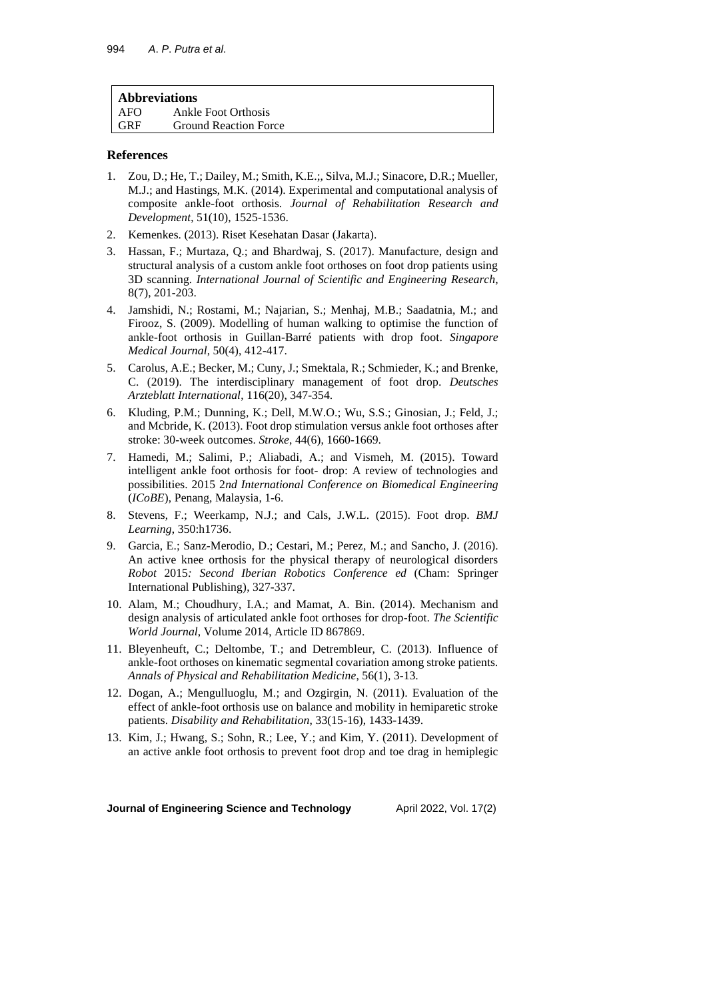| Ankle Foot Orthosis<br>AFO          |  |
|-------------------------------------|--|
|                                     |  |
| <b>Ground Reaction Force</b><br>GRF |  |

### **References**

- 1. Zou, D.; He, T.; Dailey, M.; Smith, K.E.;, Silva, M.J.; Sinacore, D.R.; Mueller, M.J.; and Hastings, M.K. (2014). Experimental and computational analysis of composite ankle-foot orthosis. *Journal of Rehabilitation Research and Development*, 51(10), 1525-1536.
- 2. Kemenkes. (2013). Riset Kesehatan Dasar (Jakarta).
- 3. Hassan, F.; Murtaza, Q.; and Bhardwaj, S. (2017). Manufacture, design and structural analysis of a custom ankle foot orthoses on foot drop patients using 3D scanning. *International Journal of Scientific and Engineering Research*, 8(7), 201-203.
- 4. Jamshidi, N.; Rostami, M.; Najarian, S.; Menhaj, M.B.; Saadatnia, M.; and Firooz, S. (2009). Modelling of human walking to optimise the function of ankle-foot orthosis in Guillan-Barré patients with drop foot. *Singapore Medical Journal*, 50(4), 412-417.
- 5. Carolus, A.E.; Becker, M.; Cuny, J.; Smektala, R.; Schmieder, K.; and Brenke, C. (2019). The interdisciplinary management of foot drop. *Deutsches Arzteblatt International*, 116(20), 347-354.
- 6. Kluding, P.M.; Dunning, K.; Dell, M.W.O.; Wu, S.S.; Ginosian, J.; Feld, J.; and Mcbride, K. (2013). Foot drop stimulation versus ankle foot orthoses after stroke: 30-week outcomes. *Stroke*, 44(6), 1660-1669.
- 7. Hamedi, M.; Salimi, P.; Aliabadi, A.; and Vismeh, M. (2015). Toward intelligent ankle foot orthosis for foot- drop: A review of technologies and possibilities. 2015 2*nd International Conference on Biomedical Engineering* (*ICoBE*), Penang, Malaysia, 1-6.
- 8. Stevens, F.; Weerkamp, N.J.; and Cals, J.W.L. (2015). Foot drop. *BMJ Learning*, 350:h1736.
- 9. Garcia, E.; Sanz-Merodio, D.; Cestari, M.; Perez, M.; and Sancho, J. (2016). An active knee orthosis for the physical therapy of neurological disorders *Robot* 2015*: Second Iberian Robotics Conference ed* (Cham: Springer International Publishing), 327-337.
- 10. Alam, M.; Choudhury, I.A.; and Mamat, A. Bin. (2014). Mechanism and design analysis of articulated ankle foot orthoses for drop-foot. *The Scientific World Journal*, Volume 2014, Article ID 867869.
- 11. Bleyenheuft, C.; Deltombe, T.; and Detrembleur, C. (2013). Influence of ankle-foot orthoses on kinematic segmental covariation among stroke patients. *Annals of Physical and Rehabilitation Medicine*, 56(1), 3-13.
- 12. Dogan, A.; Mengulluoglu, M.; and Ozgirgin, N. (2011). Evaluation of the effect of ankle-foot orthosis use on balance and mobility in hemiparetic stroke patients. *Disability and Rehabilitation*, 33(15-16), 1433-1439.
- 13. Kim, J.; Hwang, S.; Sohn, R.; Lee, Y.; and Kim, Y. (2011). Development of an active ankle foot orthosis to prevent foot drop and toe drag in hemiplegic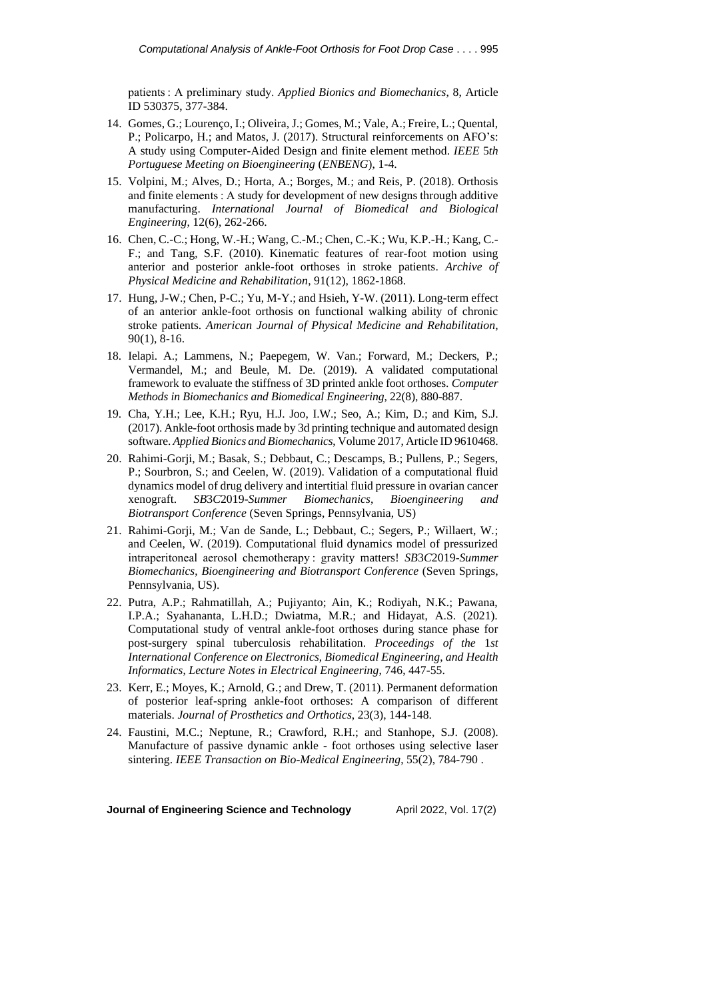patients : A preliminary study. *Applied Bionics and Biomechanics*, 8, Article ID 530375, 377-384.

- 14. Gomes, G.; Lourenço, I.; Oliveira, J.; Gomes, M.; Vale, A.; Freire, L.; Quental, P.; Policarpo, H.; and Matos, J. (2017). Structural reinforcements on AFO's: A study using Computer-Aided Design and finite element method. *IEEE* 5*th Portuguese Meeting on Bioengineering* (*ENBENG*), 1-4.
- 15. Volpini, M.; Alves, D.; Horta, A.; Borges, M.; and Reis, P. (2018). Orthosis and finite elements : A study for development of new designs through additive manufacturing. *International Journal of Biomedical and Biological Engineering*, 12(6), 262-266.
- 16. Chen, C.-C.; Hong, W.-H.; Wang, C.-M.; Chen, C.-K.; Wu, K.P.-H.; Kang, C.- F.; and Tang, S.F. (2010). Kinematic features of rear-foot motion using anterior and posterior ankle-foot orthoses in stroke patients. *Archive of Physical Medicine and Rehabilitation*, 91(12), 1862-1868.
- 17. Hung, J-W.; Chen, P-C.; Yu, M-Y.; and Hsieh, Y-W. (2011). Long-term effect of an anterior ankle-foot orthosis on functional walking ability of chronic stroke patients. *American Journal of Physical Medicine and Rehabilitation*, 90(1), 8-16.
- 18. Ielapi. A.; Lammens, N.; Paepegem, W. Van.; Forward, M.; Deckers, P.; Vermandel, M.; and Beule, M. De. (2019). A validated computational framework to evaluate the stiffness of 3D printed ankle foot orthoses. *Computer Methods in Biomechanics and Biomedical Engineering*, 22(8), 880-887.
- 19. Cha, Y.H.; Lee, K.H.; Ryu, H.J. Joo, I.W.; Seo, A.; Kim, D.; and Kim, S.J. (2017). Ankle-foot orthosis made by 3d printing technique and automated design software. *Applied Bionics and Biomechanics*, Volume 2017, Article ID 9610468.
- 20. Rahimi-Gorji, M.; Basak, S.; Debbaut, C.; Descamps, B.; Pullens, P.; Segers, P.; Sourbron, S.; and Ceelen, W. (2019). Validation of a computational fluid dynamics model of drug delivery and intertitial fluid pressure in ovarian cancer xenograft. *SB*3*C*2019*-Summer Biomechanics*, *Bioengineering and Biotransport Conference* (Seven Springs, Pennsylvania, US)
- 21. Rahimi-Gorji, M.; Van de Sande, L.; Debbaut, C.; Segers, P.; Willaert, W.; and Ceelen, W. (2019). Computational fluid dynamics model of pressurized intraperitoneal aerosol chemotherapy : gravity matters! *SB*3*C*2019*-Summer Biomechanics*, *Bioengineering and Biotransport Conference* (Seven Springs, Pennsylvania, US).
- 22. Putra, A.P.; Rahmatillah, A.; Pujiyanto; Ain, K.; Rodiyah, N.K.; Pawana, I.P.A.; Syahananta, L.H.D.; Dwiatma, M.R.; and Hidayat, A.S. (2021). Computational study of ventral ankle-foot orthoses during stance phase for post-surgery spinal tuberculosis rehabilitation. *Proceedings of the* 1*st International Conference on Electronics*, *Biomedical Engineering*, *and Health Informatics*, *Lecture Notes in Electrical Engineering*, 746, 447-55.
- 23. Kerr, E.; Moyes, K.; Arnold, G.; and Drew, T. (2011). Permanent deformation of posterior leaf-spring ankle-foot orthoses: A comparison of different materials. *Journal of Prosthetics and Orthotics*, 23(3), 144-148.
- 24. Faustini, M.C.; Neptune, R.; Crawford, R.H.; and Stanhope, S.J. (2008). Manufacture of passive dynamic ankle - foot orthoses using selective laser sintering. *IEEE Transaction on Bio-Medical Engineering*, 55(2), 784-790 .